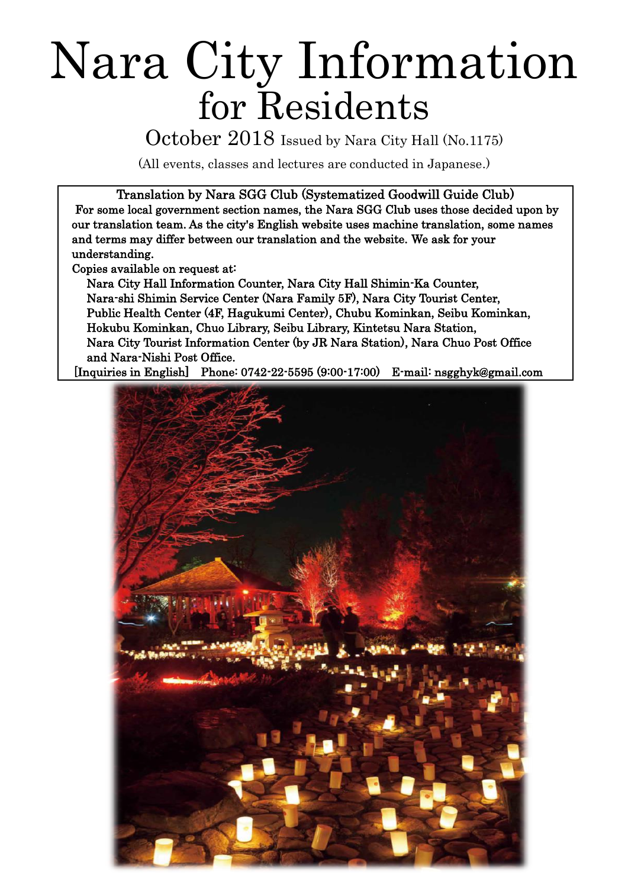# Nara City Information for Residents

October 2018 Issued by Nara City Hall (No.1175)

(All events, classes and lectures are conducted in Japanese.)

Translation by Nara SGG Club (Systematized Goodwill Guide Club)

 For some local government section names, the Nara SGG Club uses those decided upon by our translation team. As the city's English website uses machine translation, some names and terms may differ between our translation and the website. We ask for your understanding.

Copies available on request at:

Nara City Hall Information Counter, Nara City Hall Shimin-Ka Counter, Nara-shi Shimin Service Center (Nara Family 5F), Nara City Tourist Center, Public Health Center (4F, Hagukumi Center), Chubu Kominkan, Seibu Kominkan, Hokubu Kominkan, Chuo Library, Seibu Library, Kintetsu Nara Station, Nara City Tourist Information Center (by JR Nara Station), Nara Chuo Post Office and Nara-Nishi Post Office.

[Inquiries in English] Phone: 0742-22-5595 (9:00-17:00) E-mail: nsgghyk@gmail.com

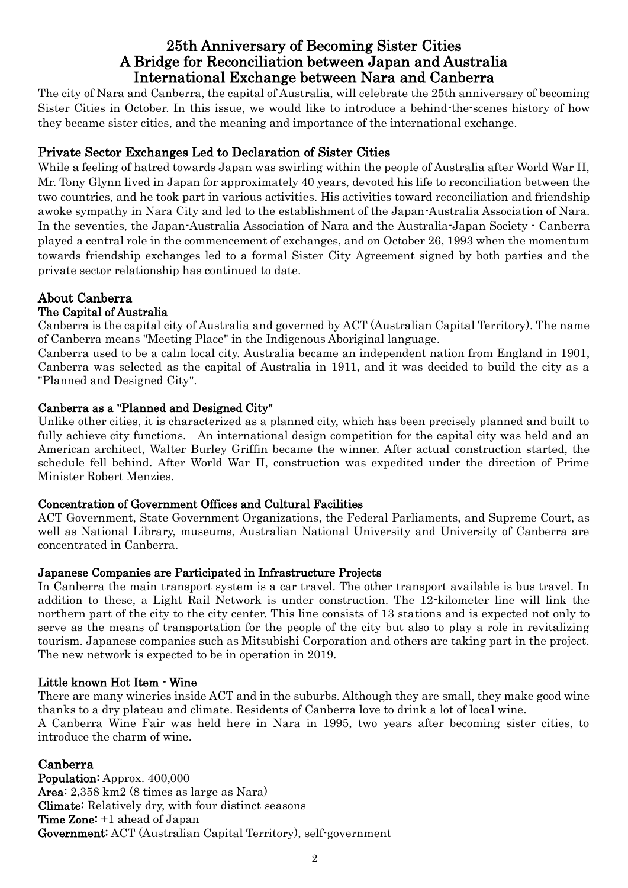# 25th Anniversary of Becoming Sister Cities A Bridge for Reconciliation between Japan and Australia International Exchange between Nara and Canberra

The city of Nara and Canberra, the capital of Australia, will celebrate the 25th anniversary of becoming Sister Cities in October. In this issue, we would like to introduce a behind-the-scenes history of how they became sister cities, and the meaning and importance of the international exchange.

## Private Sector Exchanges Led to Declaration of Sister Cities

While a feeling of hatred towards Japan was swirling within the people of Australia after World War II, Mr. Tony Glynn lived in Japan for approximately 40 years, devoted his life to reconciliation between the two countries, and he took part in various activities. His activities toward reconciliation and friendship awoke sympathy in Nara City and led to the establishment of the Japan-Australia Association of Nara. In the seventies, the Japan-Australia Association of Nara and the Australia-Japan Society - Canberra played a central role in the commencement of exchanges, and on October 26, 1993 when the momentum towards friendship exchanges led to a formal Sister City Agreement signed by both parties and the private sector relationship has continued to date.

# About Canberra

#### The Capital of Australia

Canberra is the capital city of Australia and governed by ACT (Australian Capital Territory). The name of Canberra means "Meeting Place" in the Indigenous Aboriginal language.

Canberra used to be a calm local city. Australia became an independent nation from England in 1901, Canberra was selected as the capital of Australia in 1911, and it was decided to build the city as a "Planned and Designed City".

#### Canberra as a "Planned and Designed City"

Unlike other cities, it is characterized as a planned city, which has been precisely planned and built to fully achieve city functions. An international design competition for the capital city was held and an American architect, Walter Burley Griffin became the winner. After actual construction started, the schedule fell behind. After World War II, construction was expedited under the direction of Prime Minister Robert Menzies.

#### Concentration of Government Offices and Cultural Facilities

ACT Government, State Government Organizations, the Federal Parliaments, and Supreme Court, as well as National Library, museums, Australian National University and University of Canberra are concentrated in Canberra.

#### Japanese Companies are Participated in Infrastructure Projects

In Canberra the main transport system is a car travel. The other transport available is bus travel. In addition to these, a Light Rail Network is under construction. The 12-kilometer line will link the northern part of the city to the city center. This line consists of 13 stations and is expected not only to serve as the means of transportation for the people of the city but also to play a role in revitalizing tourism. Japanese companies such as Mitsubishi Corporation and others are taking part in the project. The new network is expected to be in operation in 2019.

#### Little known Hot Item - Wine

There are many wineries inside ACT and in the suburbs. Although they are small, they make good wine thanks to a dry plateau and climate. Residents of Canberra love to drink a lot of local wine.

A Canberra Wine Fair was held here in Nara in 1995, two years after becoming sister cities, to introduce the charm of wine.

#### Canberra

Population: Approx. 400,000 Area: 2,358 km2 (8 times as large as Nara) Climate: Relatively dry, with four distinct seasons Time Zone: +1 ahead of Japan Government: ACT (Australian Capital Territory), self-government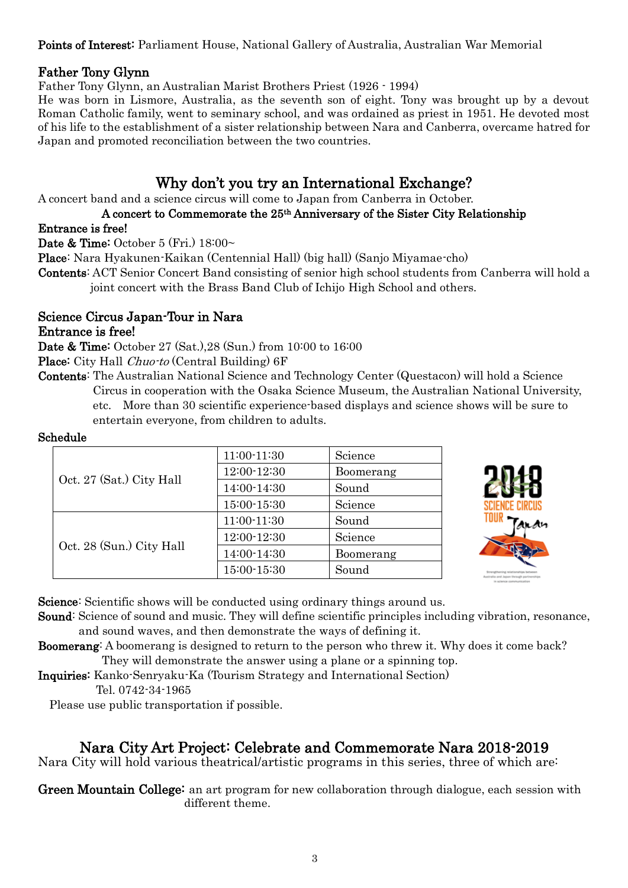### Points of Interest: Parliament House, National Gallery of Australia, Australian War Memorial

### Father Tony Glynn

Father Tony Glynn, an Australian Marist Brothers Priest (1926 - 1994)

He was born in Lismore, Australia, as the seventh son of eight. Tony was brought up by a devout Roman Catholic family, went to seminary school, and was ordained as priest in 1951. He devoted most of his life to the establishment of a sister relationship between Nara and Canberra, overcame hatred for Japan and promoted reconciliation between the two countries.

# Why don't you try an International Exchange?

A concert band and a science circus will come to Japan from Canberra in October.

### A concert to Commemorate the 25th Anniversary of the Sister City Relationship

#### Entrance is free!

Date & Time: October 5 (Fri.)  $18:00\sim$ 

Place: Nara Hyakunen-Kaikan (Centennial Hall) (big hall) (Sanjo Miyamae-cho)

Contents: ACT Senior Concert Band consisting of senior high school students from Canberra will hold a joint concert with the Brass Band Club of Ichijo High School and others.

#### Science Circus Japan-Tour in Nara Entrance is free!

Date & Time: October 27 (Sat.),28 (Sun.) from 10:00 to 16:00

Place: City Hall *Chuo-to* (Central Building) 6F

Contents: The Australian National Science and Technology Center (Questacon) will hold a Science Circus in cooperation with the Osaka Science Museum, the Australian National University, etc. More than 30 scientific experience-based displays and science shows will be sure to entertain everyone, from children to adults.

#### Schedule

| Oct. 27 (Sat.) City Hall | 11:00-11:30 | Science   |
|--------------------------|-------------|-----------|
|                          | 12:00-12:30 | Boomerang |
|                          | 14:00-14:30 | Sound     |
|                          | 15:00-15:30 | Science   |
| Oct. 28 (Sun.) City Hall | 11:00-11:30 | Sound     |
|                          | 12:00-12:30 | Science   |
|                          | 14:00-14:30 | Boomerang |
|                          | 15:00-15:30 | Sound     |



Science: Scientific shows will be conducted using ordinary things around us.

Sound: Science of sound and music. They will define scientific principles including vibration, resonance, and sound waves, and then demonstrate the ways of defining it.

Boomerang: A boomerang is designed to return to the person who threw it. Why does it come back? They will demonstrate the answer using a plane or a spinning top.

Inquiries: Kanko-Senryaku-Ka (Tourism Strategy and International Section)

Tel. 0742-34-1965

Please use public transportation if possible.

# Nara City Art Project: Celebrate and Commemorate Nara 2018-2019

Nara City will hold various theatrical/artistic programs in this series, three of which are:

Green Mountain College: an art program for new collaboration through dialogue, each session with different theme.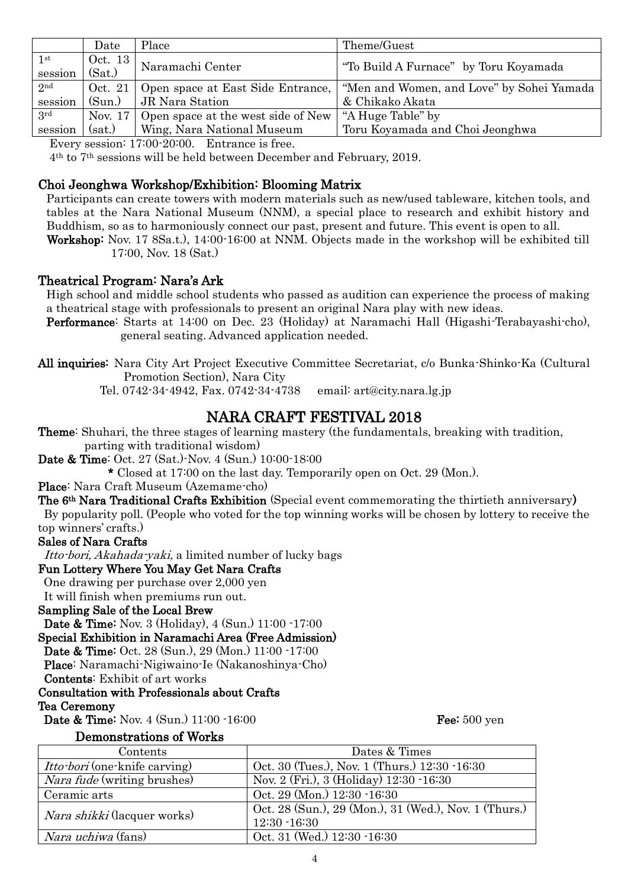|                         | Date              | Place                              | Theme/Guest                               |
|-------------------------|-------------------|------------------------------------|-------------------------------------------|
| $1^{\rm st}$<br>session | Oct. 13<br>(Sat.) | Naramachi Center                   | "To Build A Furnace" by Toru Koyamada     |
| 2 <sub>nd</sub>         | Oct. 21           | Open space at East Side Entrance,  | "Men and Women, and Love" by Sohei Yamada |
| session                 | (Sun.)            | JR Nara Station                    | & Chikako Akata                           |
| 3rd                     | Nov. $17$         | Open space at the west side of New | "A Huge Table" by                         |
| session                 | (sat.)            | Wing, Nara National Museum         | Toru Koyamada and Choi Jeonghwa           |

Every session: 17:00-20:00. Entrance is free.

4th to 7th sessions will be held between December and February, 2019.

#### Choi Jeonghwa Workshop/Exhibition: Blooming Matrix

Participants can create towers with modern materials such as new/used tableware, kitchen tools, and tables at the Nara National Museum (NNM), a special place to research and exhibit history and Buddhism, so as to harmoniously connect our past, present and future. This event is open to all.

Workshop: Nov. 17 8Sa.t.), 14:00-16:00 at NNM. Objects made in the workshop will be exhibited till 17:00, Nov. 18 (Sat.)

#### Theatrical Program: Nara's Ark

High school and middle school students who passed as audition can experience the process of making a theatrical stage with professionals to present an original Nara play with new ideas.

- Performance: Starts at 14:00 on Dec. 23 (Holiday) at Naramachi Hall (Higashi-Terabayashi-cho), general seating. Advanced application needed.
- All inquiries: Nara City Art Project Executive Committee Secretariat, c/o Bunka-Shinko-Ka (Cultural Promotion Section), Nara City

Tel. 0742-34-4942, Fax. 0742-34-4738 email: art@city.nara.lg.jp

# NARA CRAFT FESTIVAL 2018

Theme: Shuhari, the three stages of learning mastery (the fundamentals, breaking with tradition, parting with traditional wisdom)

Date & Time: Oct. 27 (Sat.)-Nov. 4 (Sun.) 10:00-18:00

\* Closed at 17:00 on the last day. Temporarily open on Oct. 29 (Mon.).

Place: Nara Craft Museum (Azemame-cho)

The 6<sup>th</sup> Nara Traditional Crafts Exhibition (Special event commemorating the thirtieth anniversary) By popularity poll. (People who voted for the top winning works will be chosen by lottery to receive the

# top winners' crafts.)

## Sales of Nara Crafts

Itto-bori, Akahada-yaki, a limited number of lucky bags

## Fun Lottery Where You May Get Nara Crafts

One drawing per purchase over 2,000 yen It will finish when premiums run out.

Sampling Sale of the Local Brew

Date & Time: Nov. 3 (Holiday), 4 (Sun.) 11:00 -17:00

Special Exhibition in Naramachi Area (Free Admission)

Date & Time: Oct. 28 (Sun.), 29 (Mon.) 11:00 -17:00

Place: Naramachi-Nigiwaino-Ie (Nakanoshinya-Cho)

Contents: Exhibit of art works

#### Consultation with Professionals about Crafts

#### Tea Ceremony

**Date & Time:** Nov. 4 (Sun.) 11:00 -16:00 Fee: 500 yen

#### Demonstrations of Works

| Contents                             | Dates & Times                                         |
|--------------------------------------|-------------------------------------------------------|
| <i>Itto-bori</i> (one-knife carving) | Oct. 30 (Tues.), Nov. 1 (Thurs.) 12:30 -16:30         |
| <i>Nara fude</i> (writing brushes)   | Nov. 2 (Fri.), 3 (Holiday) 12:30 -16:30               |
| Ceramic arts                         | Oct. 29 (Mon.) 12:30 -16:30                           |
| <i>Nara shikki</i> (lacquer works)   | Oct. 28 (Sun.), 29 (Mon.), 31 (Wed.), Nov. 1 (Thurs.) |
|                                      | $12:30 - 16:30$                                       |
| <i>Nara uchiwa</i> (fans)            | Oct. 31 (Wed.) 12:30 -16:30                           |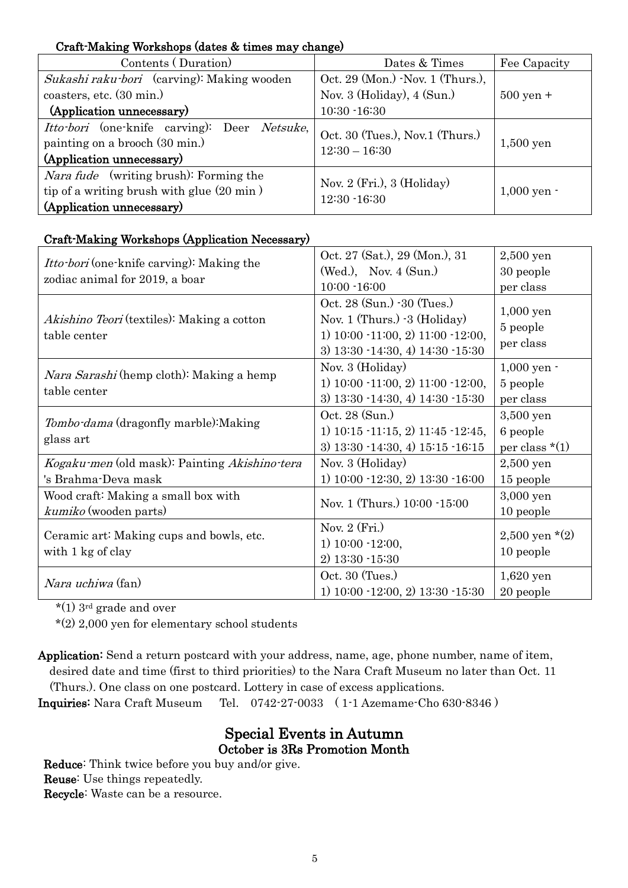## Craft-Making Workshops (dates & times may change)

| Contents (Duration)                                                                                                               | Dates & Times                                      | Fee Capacity        |
|-----------------------------------------------------------------------------------------------------------------------------------|----------------------------------------------------|---------------------|
| Sukashi raku bori (carving): Making wooden                                                                                        | Oct. 29 (Mon.) - Nov. 1 (Thurs.),                  |                     |
| coasters, etc. (30 min.)                                                                                                          | Nov. 3 (Holiday), 4 (Sun.)                         | $500 \text{ yen} +$ |
| (Application unnecessary)                                                                                                         | $10:30 - 16:30$                                    |                     |
| <i>Itto-bori</i> (one-knife carving): Deer <i>Netsuke</i> ,<br>painting on a brooch (30 min.)<br>(Application unnecessary)        | Oct. 30 (Tues.), Nov.1 (Thurs.)<br>$12:30 - 16:30$ | $1,500$ yen         |
| <i>Nara fude</i> (writing brush): Forming the<br>tip of a writing brush with glue $(20 \text{ min})$<br>(Application unnecessary) | Nov. $2$ (Fri.), $3$ (Holiday)<br>$12:30 - 16:30$  | $1,000$ yen $\cdot$ |

## Craft-Making Workshops (Application Necessary)

| <i>Itto-bori</i> (one-knife carving): Making the  | Oct. 27 (Sat.), 29 (Mon.), 31                     | $2,500$ yen               |
|---------------------------------------------------|---------------------------------------------------|---------------------------|
|                                                   | $(Wed.)$ , Nov. 4 $(Sun.)$                        | 30 people                 |
| zodiac animal for 2019, a boar                    | $10:00 - 16:00$                                   | per class                 |
|                                                   | Oct. 28 (Sun.) -30 (Tues.)                        | $1,000$ yen               |
| <i>Akishino Teori</i> (textiles): Making a cotton | Nov. 1 (Thurs.) $-3$ (Holiday)                    | 5 people                  |
| table center                                      | 1) $10:00 - 11:00$ , 2) $11:00 - 12:00$ ,         | per class                 |
|                                                   | $3)$ 13:30 $-14:30$ , 4) 14:30 $-15:30$           |                           |
| <i>Nara Sarashi</i> (hemp cloth): Making a hemp   | Nov. 3 (Holiday)                                  | $1,000$ yen $-$           |
| table center                                      | 1) $10:00 - 11:00, 2$ $11:00 - 12:00,$            | 5 people                  |
|                                                   | $3)$ 13:30 $-14:30$ , 4) 14:30 $-15:30$           | per class                 |
| <i>Tombo-dama</i> (dragonfly marble): Making      | Oct. 28 (Sun.)                                    | 3,500 yen                 |
|                                                   | 1) $10:15 \cdot 11:15$ , 2) $11:45 \cdot 12:45$ , | 6 people                  |
| glass art                                         | $3)$ 13:30 $-14:30$ , 4) 15:15 $-16:15$           | per class $*(1)$          |
| Kogaku-men (old mask): Painting Akishino-tera     | Nov. 3 (Holiday)                                  | $2,500$ yen               |
| 's Brahma-Deva mask                               | 1) $10:00 - 12:30, 2$ $13:30 - 16:00$             | 15 people                 |
| Wood craft: Making a small box with               | Nov. 1 (Thurs.) 10:00 -15:00                      | 3,000 yen                 |
| kumiko (wooden parts)                             |                                                   | 10 people                 |
|                                                   | Nov. $2$ (Fri.)                                   |                           |
| Ceramic art: Making cups and bowls, etc.          | 1) $10:00 - 12:00$ ,                              | $2,500 \,\text{yen}$ *(2) |
| with 1 kg of clay                                 | $2)$ 13:30 $-15:30$                               | 10 people                 |
|                                                   | Oct. 30 (Tues.)                                   | $1,620$ yen               |
| <i>Nara uchiwa</i> (fan)                          | $1)$ 10:00 $-12:00$ , 2) 13:30 $-15:30$           | 20 people                 |

\*(1) 3rd grade and over

 $*(2)$  2,000 yen for elementary school students

Application: Send a return postcard with your address, name, age, phone number, name of item, desired date and time (first to third priorities) to the Nara Craft Museum no later than Oct. 11 (Thurs.). One class on one postcard. Lottery in case of excess applications.

Inquiries: Nara Craft Museum Tel. 0742-27-0033 ( 1-1 Azemame-Cho 630-8346 )

## Special Events in Autumn October is 3Rs Promotion Month

Reduce: Think twice before you buy and/or give. Reuse: Use things repeatedly. Recycle: Waste can be a resource.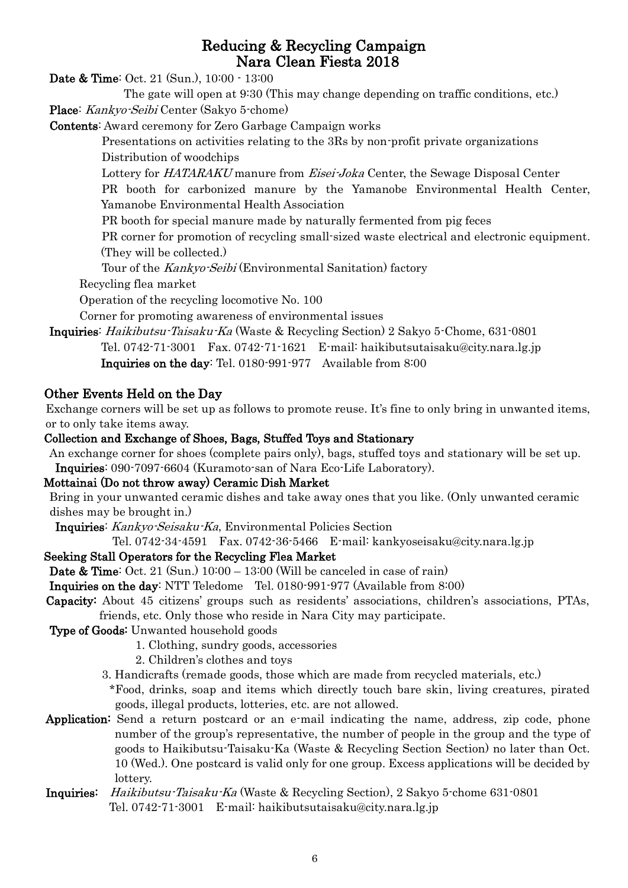# Reducing & Recycling Campaign Nara Clean Fiesta 2018

Date & Time: Oct. 21 (Sun.), 10:00 - 13:00

The gate will open at 9:30 (This may change depending on traffic conditions, etc.) Place: Kankyo-Seibi Center (Sakyo 5-chome)

Contents: Award ceremony for Zero Garbage Campaign works

 Presentations on activities relating to the 3Rs by non-profit private organizations Distribution of woodchips

Lottery for HATARAKU manure from Eisei-Joka Center, the Sewage Disposal Center

 PR booth for carbonized manure by the Yamanobe Environmental Health Center, Yamanobe Environmental Health Association

PR booth for special manure made by naturally fermented from pig feces

 PR corner for promotion of recycling small-sized waste electrical and electronic equipment. (They will be collected.)

Tour of the Kankyo-Seibi (Environmental Sanitation) factory

Recycling flea market

Operation of the recycling locomotive No. 100

Corner for promoting awareness of environmental issues

Inquiries: Haikibutsu-Taisaku-Ka (Waste & Recycling Section) 2 Sakyo 5-Chome, 631-0801 Tel. 0742-71-3001 Fax. 0742-71-1621 E-mail: [haikibutsutaisaku@city.nara.lg.jp](mailto:haikibutsutaisaku@city.nara.lg.jp) Inquiries on the day: Tel. 0180-991-977 Available from 8:00

# Other Events Held on the Day

Exchange corners will be set up as follows to promote reuse. It's fine to only bring in unwanted items, or to only take items away.

### Collection and Exchange of Shoes, Bags, Stuffed Toys and Stationary

An exchange corner for shoes (complete pairs only), bags, stuffed toys and stationary will be set up. Inquiries: 090-7097-6604 (Kuramoto-san of Nara Eco-Life Laboratory).

#### Mottainai (Do not throw away) Ceramic Dish Market

Bring in your unwanted ceramic dishes and take away ones that you like. (Only unwanted ceramic dishes may be brought in.)

Inquiries: Kankyo-Seisaku-Ka, Environmental Policies Section

Tel. 0742-34-4591 Fax. 0742-36-5466 E-mail: kankyoseisaku@city.nara.lg.jp

## Seeking Stall Operators for the Recycling Flea Market

**Date & Time:** Oct. 21 (Sun.)  $10:00 - 13:00$  (Will be canceled in case of rain)

Inquiries on the day: NTT Teledome Tel. 0180-991-977 (Available from 8:00)

Capacity: About 45 citizens' groups such as residents' associations, children's associations, PTAs, friends, etc. Only those who reside in Nara City may participate.

Type of Goods: Unwanted household goods

- 1. Clothing, sundry goods, accessories
- 2. Children's clothes and toys
- 3. Handicrafts (remade goods, those which are made from recycled materials, etc.)

\*Food, drinks, soap and items which directly touch bare skin, living creatures, pirated goods, illegal products, lotteries, etc. are not allowed.

Application: Send a return postcard or an e-mail indicating the name, address, zip code, phone number of the group's representative, the number of people in the group and the type of goods to Haikibutsu-Taisaku-Ka (Waste & Recycling Section Section) no later than Oct. 10 (Wed.). One postcard is valid only for one group. Excess applications will be decided by lottery.

Inquiries: Haikibutsu-Taisaku-Ka (Waste & Recycling Section), 2 Sakyo 5-chome 631-0801 Tel. 0742-71-3001 E-mail: haikibutsutaisaku@city.nara.lg.jp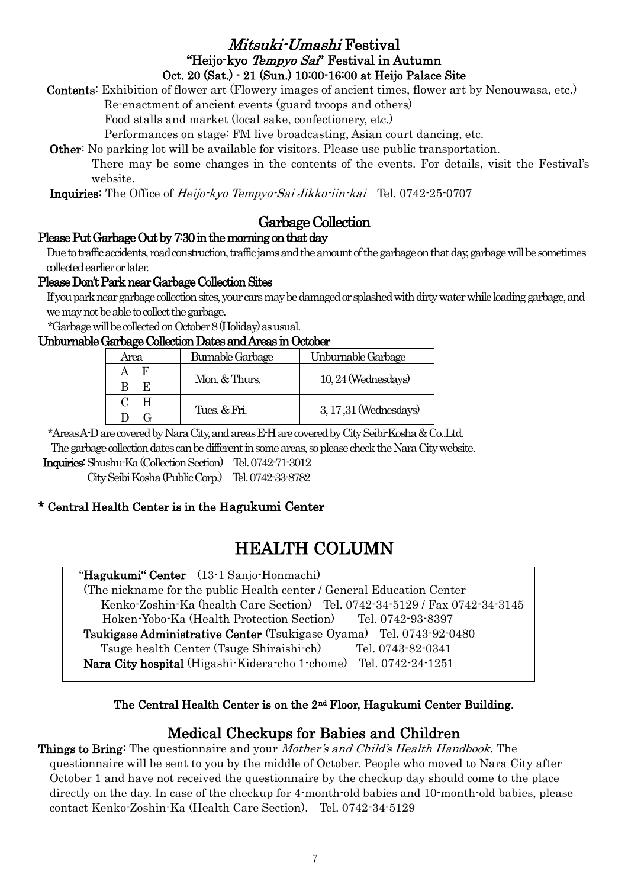# Mitsuki-Umashi Festival "Heijo-kyo Tempyo Sai" Festival in Autumn Oct. 20 (Sat.) - 21 (Sun.) 10:00-16:00 at Heijo Palace Site

Contents: Exhibition of flower art (Flowery images of ancient times, flower art by Nenouwasa, etc.)

Re-enactment of ancient events (guard troops and others)

Food stalls and market (local sake, confectionery, etc.)

Performances on stage: FM live broadcasting, Asian court dancing, etc.

Other: No parking lot will be available for visitors. Please use public transportation.

 There may be some changes in the contents of the events. For details, visit the Festival's website.

Inquiries: The Office of Heijo-kyo Tempyo-Sai Jikko-iin-kai Tel. 0742-25-0707

# Garbage Collection

## Please Put Garbage Out by 7:30 in the morning on that day

Due to traffic accidents, road construction, traffic jams and the amount of the garbage on that day, garbage will be sometimes collected earlier or later.

## Please Don't Park near Garbage Collection Sites

If you park near garbage collection sites, your cars may be damaged or splashed with dirty water while loading garbage, and we may not be able to collect the garbage.

\*Garbage will be collected on October 8 (Holiday) as usual.

#### Unburnable Garbage Collection Dates and Areas in October

| Area | <b>Burnable Garbage</b> | Unburnable Garbage     |
|------|-------------------------|------------------------|
|      | Mon. & Thurs.           | 10, 24 (Wednesdays)    |
| K.   |                         |                        |
|      |                         | 3, 17, 31 (Wednesdays) |
|      | Tues. & Fri.            |                        |

\*Areas A-D are covered by Nara City, and areas E-H are covered by City Seibi-Kosha & Co..Ltd.

The garbage collection dates can be different in some areas, so please check the Nara City website.

Inquiries: Shushu-Ka (Collection Section) Tel. 0742-71-3012

City Seibi Kosha (Public Corp.) Tel. 0742-33-8782

## \* Central Health Center is in the Hagukumi Center

# HEALTH COLUMN

| "Hagukumi" Center (13-1 Sanjo-Honmachi)                                    |
|----------------------------------------------------------------------------|
| (The nickname for the public Health center / General Education Center)     |
| Kenko Zoshin Ka (health Care Section) Tel. 0742-34-5129 / Fax 0742-34-3145 |
| Hoken-Yobo-Ka (Health Protection Section) Tel. 0742-93-8397                |
| Tsukigase Administrative Center (Tsukigase Oyama) Tel. 0743-92-0480        |
| Tsuge health Center (Tsuge Shiraishich)<br>Tel. 0743-82-0341               |
| Nara City hospital (Higashi-Kidera-cho 1-chome) Tel. 0742-24-1251          |

## The Central Health Center is on the 2nd Floor, Hagukumi Center Building.

# Medical Checkups for Babies and Children

Things to Bring: The questionnaire and your *Mother's and Child's Health Handbook*. The questionnaire will be sent to you by the middle of October. People who moved to Nara City after October 1 and have not received the questionnaire by the checkup day should come to the place directly on the day. In case of the checkup for 4-month-old babies and 10-month-old babies, please contact Kenko-Zoshin-Ka (Health Care Section). Tel. 0742-34-5129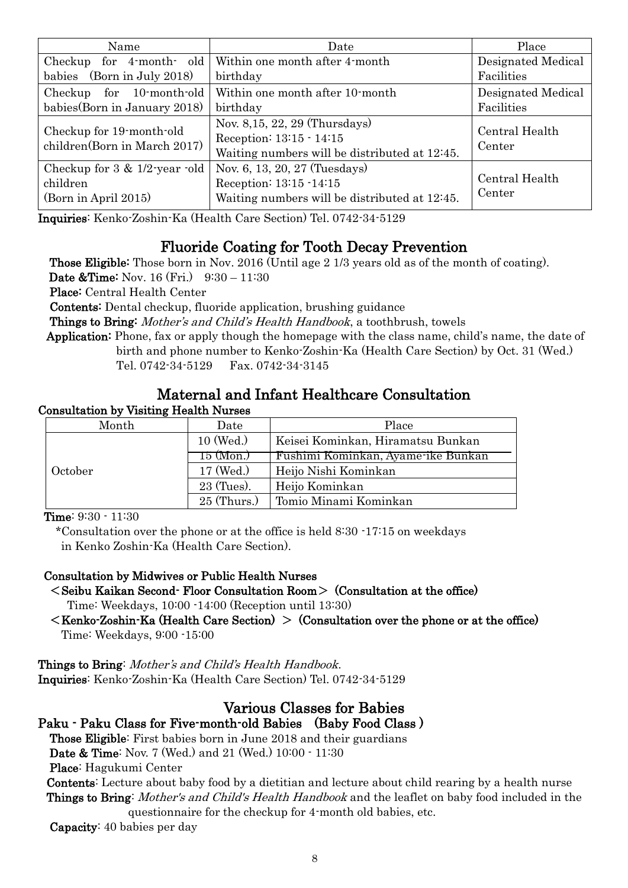| Name                                                                  | Date                                                                                                        | Place                    |
|-----------------------------------------------------------------------|-------------------------------------------------------------------------------------------------------------|--------------------------|
| Checkup for 4-month- old                                              | Within one month after 4-month                                                                              | Designated Medical       |
| babies (Born in July 2018)                                            | birthday                                                                                                    | Facilities               |
| Checkup for 10-month-old                                              | Within one month after 10-month                                                                             | Designated Medical       |
| babies (Born in January 2018)                                         | birthday                                                                                                    | Facilities               |
| Checkup for 19-month-old<br>children(Born in March 2017)              | Nov. 8, 15, 22, 29 (Thursdays)<br>Reception: 13:15 - 14:15<br>Waiting numbers will be distributed at 12:45. | Central Health<br>Center |
| Checkup for $3 \& 1/2$ -year -old<br>children<br>(Born in April 2015) | Nov. 6, 13, 20, 27 (Tuesdays)<br>Reception: 13:15 -14:15<br>Waiting numbers will be distributed at 12:45.   | Central Health<br>Center |

Inquiries: Kenko-Zoshin-Ka (Health Care Section) Tel. 0742-34-5129

# Fluoride Coating for Tooth Decay Prevention

Those Eligible: Those born in Nov. 2016 (Until age 2 1/3 years old as of the month of coating).

**Date &Time:** Nov. 16 (Fri.) 9:30 – 11:30

Place: Central Health Center

Contents: Dental checkup, fluoride application, brushing guidance

Things to Bring: Mother's and Child's Health Handbook, a toothbrush, towels

Application: Phone, fax or apply though the homepage with the class name, child's name, the date of birth and phone number to Kenko-Zoshin-Ka (Health Care Section) by Oct. 31 (Wed.) Tel. 0742-34-5129 Fax. 0742-34-3145

# Maternal and Infant Healthcare Consultation

#### Consultation by Visiting Health Nurses

| Month   | Date          | Place                              |
|---------|---------------|------------------------------------|
|         | 10 (Wed.)     | Keisei Kominkan, Hiramatsu Bunkan  |
|         | 15 (Mon.)     | Fushimi Kominkan, Ayame-ike Bunkan |
| October | 17 (Wed.)     | Heijo Nishi Kominkan               |
|         | 23 (Tues).    | Heijo Kominkan                     |
|         | $25$ (Thurs.) | Tomio Minami Kominkan              |

Time: 9:30 - 11:30

\*Consultation over the phone or at the office is held 8:30 -17:15 on weekdays in Kenko Zoshin-Ka (Health Care Section).

#### Consultation by Midwives or Public Health Nurses

- $\leq$  Seibu Kaikan Second- Floor Consultation Room $>$  (Consultation at the office) Time: Weekdays, 10:00 -14:00 (Reception until 13:30)
- $\leq$ Kenko-Zoshin-Ka (Health Care Section)  $\geq$  (Consultation over the phone or at the office) Time: Weekdays, 9:00 -15:00

Things to Bring: Mother's and Child's Health Handbook. Inquiries: Kenko-Zoshin-Ka (Health Care Section) Tel. 0742-34-5129

# Various Classes for Babies

## Paku - Paku Class for Five-month-old Babies (Baby Food Class )

Those Eligible: First babies born in June 2018 and their guardians

Date & Time: Nov. 7 (Wed.) and 21 (Wed.) 10:00 - 11:30

Place: Hagukumi Center

Contents: Lecture about baby food by a dietitian and lecture about child rearing by a health nurse Things to Bring: Mother's and Child's Health Handbook and the leaflet on baby food included in the questionnaire for the checkup for 4-month old babies, etc.

Capacity: 40 babies per day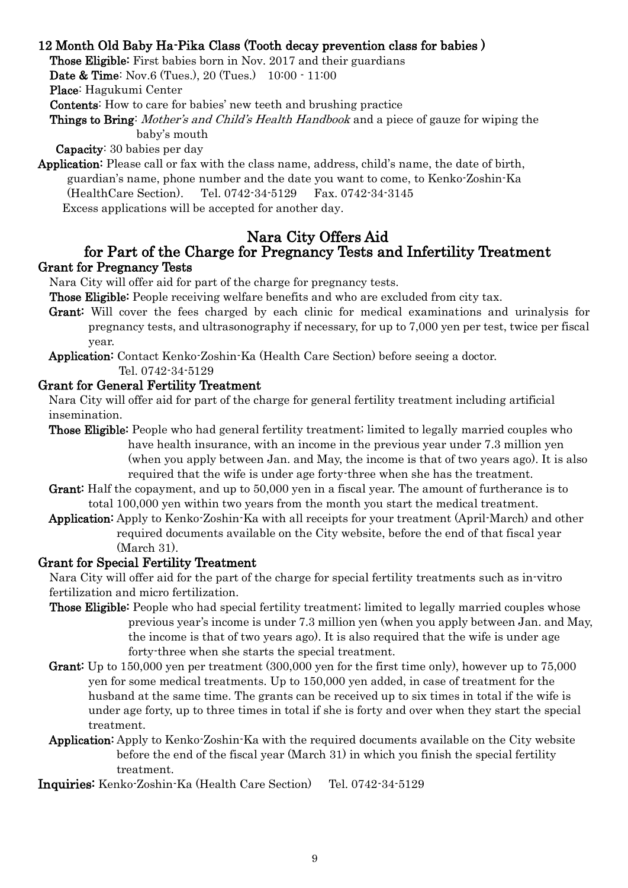## 12 Month Old Baby Ha-Pika Class (Tooth decay prevention class for babies )

Those Eligible: First babies born in Nov. 2017 and their guardians

Date & Time: Nov.6 (Tues.), 20 (Tues.) 10:00 - 11:00

Place: Hagukumi Center

Contents: How to care for babies' new teeth and brushing practice

Things to Bring: Mother's and Child's Health Handbook and a piece of gauze for wiping the baby's mouth

Capacity: 30 babies per day

Application: Please call or fax with the class name, address, child's name, the date of birth, guardian's name, phone number and the date you want to come, to Kenko-Zoshin-Ka (HealthCare Section). Tel. 0742-34-5129 Fax. 0742-34-3145 Excess applications will be accepted for another day.

#### Nara City Offers Aid for Part of the Charge for Pregnancy Tests and Infertility Treatment Grant for Pregnancy Tests

Nara City will offer aid for part of the charge for pregnancy tests.

Those Eligible: People receiving welfare benefits and who are excluded from city tax.

- Grant: Will cover the fees charged by each clinic for medical examinations and urinalysis for pregnancy tests, and ultrasonography if necessary, for up to 7,000 yen per test, twice per fiscal year.
- Application: Contact Kenko-Zoshin-Ka (Health Care Section) before seeing a doctor. Tel. 0742-34-5129

#### Grant for General Fertility Treatment

Nara City will offer aid for part of the charge for general fertility treatment including artificial insemination.

- Those Eligible: People who had general fertility treatment; limited to legally married couples who have health insurance, with an income in the previous year under 7.3 million yen (when you apply between Jan. and May, the income is that of two years ago). It is also required that the wife is under age forty-three when she has the treatment.
- Grant: Half the copayment, and up to 50,000 yen in a fiscal year. The amount of furtherance is to total 100,000 yen within two years from the month you start the medical treatment.
- Application: Apply to Kenko-Zoshin-Ka with all receipts for your treatment (April-March) and other required documents available on the City website, before the end of that fiscal year (March 31).

#### Grant for Special Fertility Treatment

 Nara City will offer aid for the part of the charge for special fertility treatments such as in-vitro fertilization and micro fertilization.

- Those Eligible: People who had special fertility treatment; limited to legally married couples whose previous year's income is under 7.3 million yen (when you apply between Jan. and May, the income is that of two years ago). It is also required that the wife is under age forty-three when she starts the special treatment.
- Grant: Up to 150,000 yen per treatment (300,000 yen for the first time only), however up to 75,000 yen for some medical treatments. Up to 150,000 yen added, in case of treatment for the husband at the same time. The grants can be received up to six times in total if the wife is under age forty, up to three times in total if she is forty and over when they start the special treatment.
- Application: Apply to Kenko-Zoshin-Ka with the required documents available on the City website before the end of the fiscal year (March 31) in which you finish the special fertility treatment.

Inquiries: Kenko-Zoshin-Ka (Health Care Section) Tel. 0742-34-5129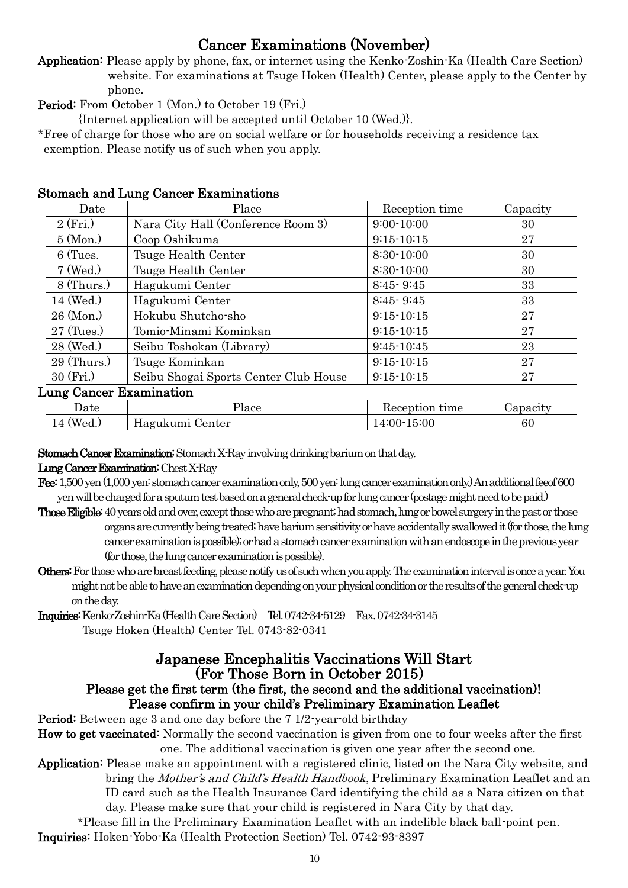# Cancer Examinations (November)

Application: Please apply by phone, fax, or internet using the Kenko-Zoshin-Ka (Health Care Section) website. For examinations at Tsuge Hoken (Health) Center, please apply to the Center by phone.

Period: From October 1 (Mon.) to October 19 (Fri.)

{Internet application will be accepted until October 10 (Wed.)}.

\*Free of charge for those who are on social welfare or for households receiving a residence tax exemption. Please notify us of such when you apply.

| Date           | Place                                 | Reception time | Capacity |  |  |
|----------------|---------------------------------------|----------------|----------|--|--|
| 2(Fri.)        | Nara City Hall (Conference Room 3)    | $9:00 - 10:00$ | 30       |  |  |
| $5 \, (Mon.)$  | Coop Oshikuma                         | $9:15 - 10:15$ | 27       |  |  |
| 6 (Tues.       | Tsuge Health Center                   | 8:30-10:00     | 30       |  |  |
| $7 \,$ (Wed.)  | Tsuge Health Center                   | 8:30-10:00     | 30       |  |  |
| $8$ (Thurs.)   | Hagukumi Center                       | $8:45 - 9:45$  | 33       |  |  |
| 14 (Wed.)      | Hagukumi Center                       | $8:45 - 9:45$  | 33       |  |  |
| $26 \, (Mon.)$ | Hokubu Shutcho-sho                    | $9:15 - 10:15$ | 27       |  |  |
| $27$ (Tues.)   | Tomio-Minami Kominkan                 | $9:15-10:15$   | 27       |  |  |
| 28 (Wed.)      | Seibu Toshokan (Library)              | $9:45-10:45$   | 23       |  |  |
| $29$ (Thurs.)  | Tsuge Kominkan                        | $9:15-10:15$   | 27       |  |  |
| $30$ (Fri.)    | Seibu Shogai Sports Center Club House | $9:15-10:15$   | 27       |  |  |
|                | <b>Lung Cancer Examination</b>        |                |          |  |  |
|                |                                       |                |          |  |  |

#### Stomach and Lung Cancer Examinations

| Date             | 'lace    | time<br>Reception | Japacıt |
|------------------|----------|-------------------|---------|
| $^{\prime}$ Wea. | Jenter   | 15:00             | 60      |
| 14               | Hagukumi | $-4:00-7$         |         |

Stomach Cancer Examination: Stomach X-Ray involving drinking barium on that day.

#### Lung Cancer Examination: Chest X-Ray

- Fee:1,500 yen (1,000 yen: stomach cancer examination only, 500 yen: lung cancer examination only.) An additional feeof 600 yen will be charged for a sputum test based on a general check-up for lung cancer (postage might need to be paid.)
- Those Eligible: 40 years old and over, except those who are pregnant; had stomach, lung or bowel surgery in the past or those organs are currently being treated; have barium sensitivity or have accidentally swallowed it (for those, the lung cancer examination is possible); or had a stomach cancer examination with an endoscope in the previous year (for those, the lung cancer examination is possible).
- Others: For those who are breast feeding, please notify us of such when you apply. The examination interval is once a year. You might not be able to have an examination depending on your physical condition or the results of the general check-up on the day.

Inquiries: Kenko-Zoshin-Ka (Health Care Section) Tel. 0742-34-5129 Fax. 0742-34-3145 Tsuge Hoken (Health) Center Tel. 0743-82-0341

#### Japanese Encephalitis Vaccinations Will Start (For Those Born in October 2015) Please get the first term (the first, the second and the additional vaccination)! Please confirm in your child's Preliminary Examination Leaflet

Period: Between age 3 and one day before the 7 1/2-year-old birthday

How to get vaccinated: Normally the second vaccination is given from one to four weeks after the first one. The additional vaccination is given one year after the second one.

Application: Please make an appointment with a registered clinic, listed on the Nara City website, and bring the Mother's and Child's Health Handbook, Preliminary Examination Leaflet and an ID card such as the Health Insurance Card identifying the child as a Nara citizen on that day. Please make sure that your child is registered in Nara City by that day.

\*Please fill in the Preliminary Examination Leaflet with an indelible black ball-point pen. Inquiries: Hoken-Yobo-Ka (Health Protection Section) Tel. 0742-93-8397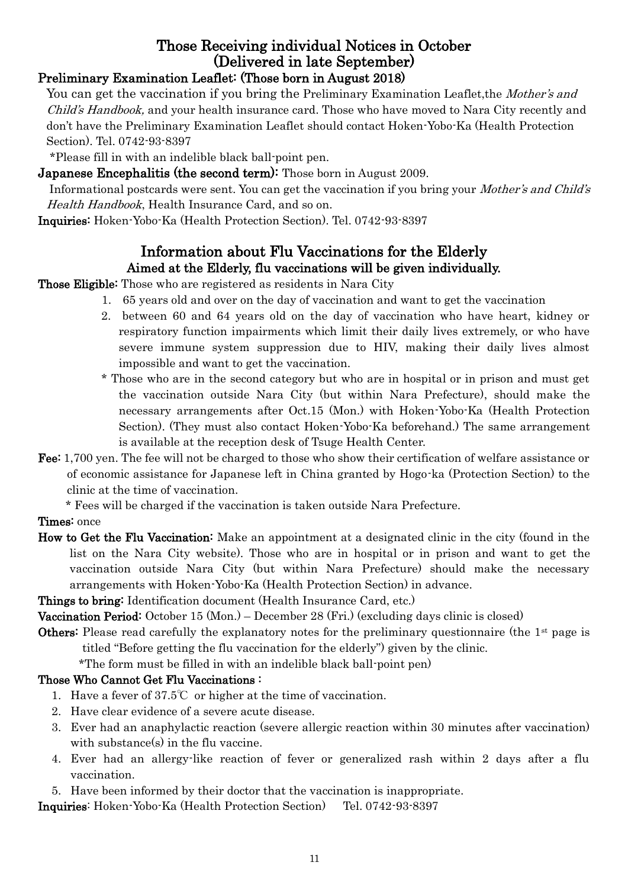# Those Receiving individual Notices in October (Delivered in late September)

# Preliminary Examination Leaflet: (Those born in August 2018)

You can get the vaccination if you bring the Preliminary Examination Leaflet, the *Mother's and* Child's Handbook, and your health insurance card. Those who have moved to Nara City recently and don't have the Preliminary Examination Leaflet should contact Hoken-Yobo-Ka (Health Protection Section). Tel. 0742-93-8397

\*Please fill in with an indelible black ball-point pen.

**Japanese Encephalitis (the second term):** Those born in August 2009.

 Informational postcards were sent. You can get the vaccination if you bring your Mother's and Child's Health Handbook, Health Insurance Card, and so on.

Inquiries: Hoken-Yobo-Ka (Health Protection Section). Tel. 0742-93-8397

# Information about Flu Vaccinations for the Elderly Aimed at the Elderly, flu vaccinations will be given individually.

Those Eligible: Those who are registered as residents in Nara City

- 1. 65 years old and over on the day of vaccination and want to get the vaccination
- 2. between 60 and 64 years old on the day of vaccination who have heart, kidney or respiratory function impairments which limit their daily lives extremely, or who have severe immune system suppression due to HIV, making their daily lives almost impossible and want to get the vaccination.
- \* Those who are in the second category but who are in hospital or in prison and must get the vaccination outside Nara City (but within Nara Prefecture), should make the necessary arrangements after Oct.15 (Mon.) with Hoken-Yobo-Ka (Health Protection Section). (They must also contact Hoken-Yobo-Ka beforehand.) The same arrangement is available at the reception desk of Tsuge Health Center.
- Fee: 1,700 yen. The fee will not be charged to those who show their certification of welfare assistance or of economic assistance for Japanese left in China granted by Hogo-ka (Protection Section) to the clinic at the time of vaccination.

\* Fees will be charged if the vaccination is taken outside Nara Prefecture.

## Times: once

How to Get the Flu Vaccination: Make an appointment at a designated clinic in the city (found in the list on the Nara City website). Those who are in hospital or in prison and want to get the vaccination outside Nara City (but within Nara Prefecture) should make the necessary arrangements with Hoken-Yobo-Ka (Health Protection Section) in advance.

Things to bring: Identification document (Health Insurance Card, etc.)

Vaccination Period: October 15 (Mon.) – December 28 (Fri.) (excluding days clinic is closed)

**Others:** Please read carefully the explanatory notes for the preliminary questionnaire (the  $1<sup>st</sup>$  page is titled "Before getting the flu vaccination for the elderly") given by the clinic.

\*The form must be filled in with an indelible black ball-point pen)

# Those Who Cannot Get Flu Vaccinations :

- 1. Have a fever of 37.5℃ or higher at the time of vaccination.
- 2. Have clear evidence of a severe acute disease.
- 3. Ever had an anaphylactic reaction (severe allergic reaction within 30 minutes after vaccination) with substance(s) in the flu vaccine.
- 4. Ever had an allergy-like reaction of fever or generalized rash within 2 days after a flu vaccination.
- 5. Have been informed by their doctor that the vaccination is inappropriate.

Inquiries: Hoken-Yobo-Ka (Health Protection Section) Tel. 0742-93-8397